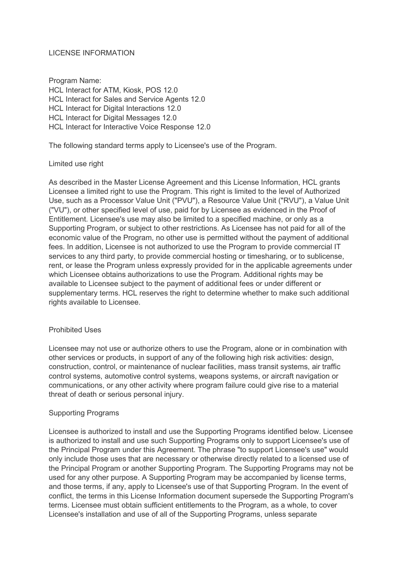# LICENSE INFORMATION

Program Name: HCL Interact for ATM, Kiosk, POS 12.0 HCL Interact for Sales and Service Agents 12.0 HCL Interact for Digital Interactions 12.0 HCL Interact for Digital Messages 12.0 HCL Interact for Interactive Voice Response 12.0

The following standard terms apply to Licensee's use of the Program.

# Limited use right

As described in the Master License Agreement and this License Information, HCL grants Licensee a limited right to use the Program. This right is limited to the level of Authorized Use, such as a Processor Value Unit ("PVU"), a Resource Value Unit ("RVU"), a Value Unit ("VU"), or other specified level of use, paid for by Licensee as evidenced in the Proof of Entitlement. Licensee's use may also be limited to a specified machine, or only as a Supporting Program, or subject to other restrictions. As Licensee has not paid for all of the economic value of the Program, no other use is permitted without the payment of additional fees. In addition, Licensee is not authorized to use the Program to provide commercial IT services to any third party, to provide commercial hosting or timesharing, or to sublicense, rent, or lease the Program unless expressly provided for in the applicable agreements under which Licensee obtains authorizations to use the Program. Additional rights may be available to Licensee subject to the payment of additional fees or under different or supplementary terms. HCL reserves the right to determine whether to make such additional rights available to Licensee.

# Prohibited Uses

Licensee may not use or authorize others to use the Program, alone or in combination with other services or products, in support of any of the following high risk activities: design, construction, control, or maintenance of nuclear facilities, mass transit systems, air traffic control systems, automotive control systems, weapons systems, or aircraft navigation or communications, or any other activity where program failure could give rise to a material threat of death or serious personal injury.

# Supporting Programs

Licensee is authorized to install and use the Supporting Programs identified below. Licensee is authorized to install and use such Supporting Programs only to support Licensee's use of the Principal Program under this Agreement. The phrase "to support Licensee's use" would only include those uses that are necessary or otherwise directly related to a licensed use of the Principal Program or another Supporting Program. The Supporting Programs may not be used for any other purpose. A Supporting Program may be accompanied by license terms, and those terms, if any, apply to Licensee's use of that Supporting Program. In the event of conflict, the terms in this License Information document supersede the Supporting Program's terms. Licensee must obtain sufficient entitlements to the Program, as a whole, to cover Licensee's installation and use of all of the Supporting Programs, unless separate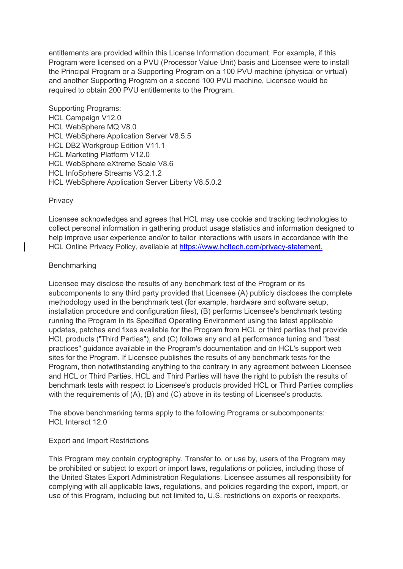entitlements are provided within this License Information document. For example, if this Program were licensed on a PVU (Processor Value Unit) basis and Licensee were to install the Principal Program or a Supporting Program on a 100 PVU machine (physical or virtual) and another Supporting Program on a second 100 PVU machine, Licensee would be required to obtain 200 PVU entitlements to the Program.

Supporting Programs: HCL Campaign V12.0 HCL WebSphere MQ V8.0 HCL WebSphere Application Server V8.5.5 HCL DB2 Workgroup Edition V11.1 HCL Marketing Platform V12.0 HCL WebSphere eXtreme Scale V8.6 HCL InfoSphere Streams V3.2.1.2 HCL WebSphere Application Server Liberty V8.5.0.2

### **Privacy**

Licensee acknowledges and agrees that HCL may use cookie and tracking technologies to collect personal information in gathering product usage statistics and information designed to help improve user experience and/or to tailor interactions with users in accordance with the HCL Online Privacy Policy, available at [https://www.hcltech.com/privacy-statement.](https://www.hcltech.com/privacy-statement)

### Benchmarking

Licensee may disclose the results of any benchmark test of the Program or its subcomponents to any third party provided that Licensee (A) publicly discloses the complete methodology used in the benchmark test (for example, hardware and software setup, installation procedure and configuration files), (B) performs Licensee's benchmark testing running the Program in its Specified Operating Environment using the latest applicable updates, patches and fixes available for the Program from HCL or third parties that provide HCL products ("Third Parties"), and (C) follows any and all performance tuning and "best practices" guidance available in the Program's documentation and on HCL's support web sites for the Program. If Licensee publishes the results of any benchmark tests for the Program, then notwithstanding anything to the contrary in any agreement between Licensee and HCL or Third Parties, HCL and Third Parties will have the right to publish the results of benchmark tests with respect to Licensee's products provided HCL or Third Parties complies with the requirements of (A), (B) and (C) above in its testing of Licensee's products.

The above benchmarking terms apply to the following Programs or subcomponents: HCL Interact 12.0

# Export and Import Restrictions

This Program may contain cryptography. Transfer to, or use by, users of the Program may be prohibited or subject to export or import laws, regulations or policies, including those of the United States Export Administration Regulations. Licensee assumes all responsibility for complying with all applicable laws, regulations, and policies regarding the export, import, or use of this Program, including but not limited to, U.S. restrictions on exports or reexports.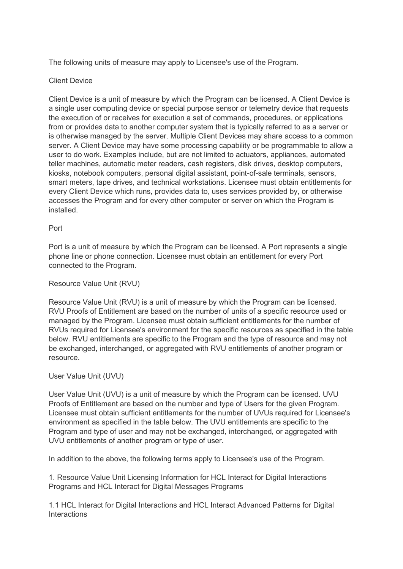The following units of measure may apply to Licensee's use of the Program.

# Client Device

Client Device is a unit of measure by which the Program can be licensed. A Client Device is a single user computing device or special purpose sensor or telemetry device that requests the execution of or receives for execution a set of commands, procedures, or applications from or provides data to another computer system that is typically referred to as a server or is otherwise managed by the server. Multiple Client Devices may share access to a common server. A Client Device may have some processing capability or be programmable to allow a user to do work. Examples include, but are not limited to actuators, appliances, automated teller machines, automatic meter readers, cash registers, disk drives, desktop computers, kiosks, notebook computers, personal digital assistant, point-of-sale terminals, sensors, smart meters, tape drives, and technical workstations. Licensee must obtain entitlements for every Client Device which runs, provides data to, uses services provided by, or otherwise accesses the Program and for every other computer or server on which the Program is installed.

# Port

Port is a unit of measure by which the Program can be licensed. A Port represents a single phone line or phone connection. Licensee must obtain an entitlement for every Port connected to the Program.

# Resource Value Unit (RVU)

Resource Value Unit (RVU) is a unit of measure by which the Program can be licensed. RVU Proofs of Entitlement are based on the number of units of a specific resource used or managed by the Program. Licensee must obtain sufficient entitlements for the number of RVUs required for Licensee's environment for the specific resources as specified in the table below. RVU entitlements are specific to the Program and the type of resource and may not be exchanged, interchanged, or aggregated with RVU entitlements of another program or resource.

# User Value Unit (UVU)

User Value Unit (UVU) is a unit of measure by which the Program can be licensed. UVU Proofs of Entitlement are based on the number and type of Users for the given Program. Licensee must obtain sufficient entitlements for the number of UVUs required for Licensee's environment as specified in the table below. The UVU entitlements are specific to the Program and type of user and may not be exchanged, interchanged, or aggregated with UVU entitlements of another program or type of user.

In addition to the above, the following terms apply to Licensee's use of the Program.

1. Resource Value Unit Licensing Information for HCL Interact for Digital Interactions Programs and HCL Interact for Digital Messages Programs

1.1 HCL Interact for Digital Interactions and HCL Interact Advanced Patterns for Digital Interactions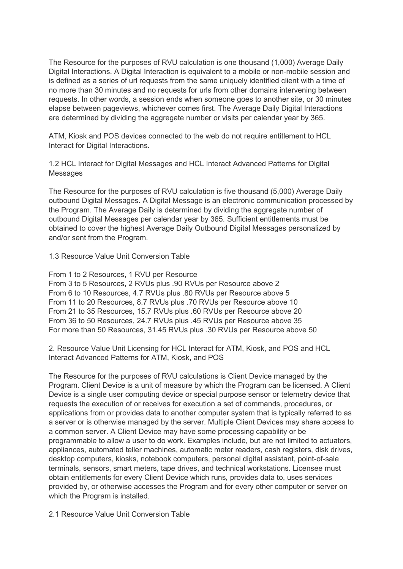The Resource for the purposes of RVU calculation is one thousand (1,000) Average Daily Digital Interactions. A Digital Interaction is equivalent to a mobile or non-mobile session and is defined as a series of url requests from the same uniquely identified client with a time of no more than 30 minutes and no requests for urls from other domains intervening between requests. In other words, a session ends when someone goes to another site, or 30 minutes elapse between pageviews, whichever comes first. The Average Daily Digital Interactions are determined by dividing the aggregate number or visits per calendar year by 365.

ATM, Kiosk and POS devices connected to the web do not require entitlement to HCL Interact for Digital Interactions.

1.2 HCL Interact for Digital Messages and HCL Interact Advanced Patterns for Digital Messages

The Resource for the purposes of RVU calculation is five thousand (5,000) Average Daily outbound Digital Messages. A Digital Message is an electronic communication processed by the Program. The Average Daily is determined by dividing the aggregate number of outbound Digital Messages per calendar year by 365. Sufficient entitlements must be obtained to cover the highest Average Daily Outbound Digital Messages personalized by and/or sent from the Program.

1.3 Resource Value Unit Conversion Table

From 1 to 2 Resources, 1 RVU per Resource From 3 to 5 Resources, 2 RVUs plus .90 RVUs per Resource above 2 From 6 to 10 Resources, 4.7 RVUs plus .80 RVUs per Resource above 5 From 11 to 20 Resources, 8.7 RVUs plus .70 RVUs per Resource above 10 From 21 to 35 Resources, 15.7 RVUs plus .60 RVUs per Resource above 20 From 36 to 50 Resources, 24.7 RVUs plus .45 RVUs per Resource above 35 For more than 50 Resources, 31.45 RVUs plus .30 RVUs per Resource above 50

2. Resource Value Unit Licensing for HCL Interact for ATM, Kiosk, and POS and HCL Interact Advanced Patterns for ATM, Kiosk, and POS

The Resource for the purposes of RVU calculations is Client Device managed by the Program. Client Device is a unit of measure by which the Program can be licensed. A Client Device is a single user computing device or special purpose sensor or telemetry device that requests the execution of or receives for execution a set of commands, procedures, or applications from or provides data to another computer system that is typically referred to as a server or is otherwise managed by the server. Multiple Client Devices may share access to a common server. A Client Device may have some processing capability or be programmable to allow a user to do work. Examples include, but are not limited to actuators, appliances, automated teller machines, automatic meter readers, cash registers, disk drives, desktop computers, kiosks, notebook computers, personal digital assistant, point-of-sale terminals, sensors, smart meters, tape drives, and technical workstations. Licensee must obtain entitlements for every Client Device which runs, provides data to, uses services provided by, or otherwise accesses the Program and for every other computer or server on which the Program is installed.

2.1 Resource Value Unit Conversion Table